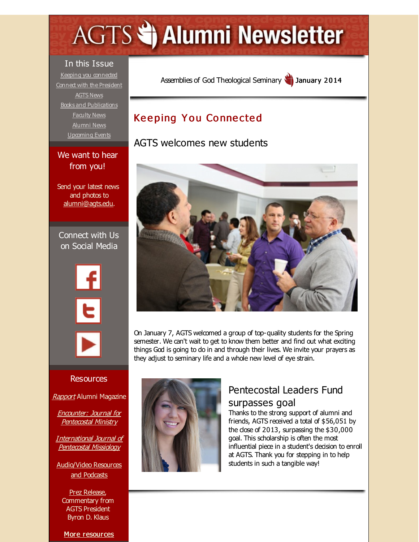# <span id="page-0-0"></span>**AGTS Statement Newsletter**

#### In this Issue

Keeping you [connected](#page-0-0) Connect with the [President](#page-0-0) [AGTS](#page-0-0) News **Books and [Publications](#page-0-0)** [Faculty](#page-0-0) News [Alumni](#page-0-0) News [Upcoming](#page-0-0) Events

#### We want to hear from you!

**The Contract** 

Send your latest news and photos to [alumni@agts.edu](mailto:alumni@agts.edu).

Connect with Us on Social Media



Assemblies of God [Theological](http://r20.rs6.net/tn.jsp?f=001ZIF0GmB-orZbqi0wyA6T0tCkoM9qVLJ7hw1tT4VOt85nFGt4EAMwaKG-8UkTotqmAIuSTwN3BawijHQLrvqUXjZWtB_ucyL8Wy2CxVbgO_ld24cN8u1HEH3sZAUEhXvO41bnVE43EHvulnV6jUe7P75H4wOhAGbL&c=&ch=) Seminary January 2014

# **Keeping You Connected**

AGTS welcomes new students



On January 7, AGTS welcomed a group of top-quality students for the Spring semester. We can't wait to get to know them better and find out what exciting things God is going to do in and through their lives. We invite your prayers as they adjust to seminary life and a whole new level of eye strain.

# Pentecostal Leaders Fund surpasses goal

Thanks to the strong support of alumni and friends, AGTS received a total of \$56,051 by the dose of  $2013$ , surpassing the  $$30,000$ goal. This scholarship is often the most influential piece in a student's decision to enroll at AGTS. Thank you for stepping in to help students in such a tangible way!

#### **Resources**

[Rapport](http://r20.rs6.net/tn.jsp?f=001ZIF0GmB-orZbqi0wyA6T0tCkoM9qVLJ7hw1tT4VOt85nFGt4EAMwaD4duuwVHfUOWZtGfnay4094Zrd1a-j1ns0rO3Dz8bO9CHZqzcbvhuclv0DPWWZpdVhK6rH3fiH9CneDHuxqstbN6omlfbang7voXoQFJfFUsHBDlTUkgMySYFtzvhMD6xG63KPGStfr&c=&ch=) Alumni Magazine

Encounter: Journal for [Pentecostal](http://r20.rs6.net/tn.jsp?f=001ZIF0GmB-orZbqi0wyA6T0tCkoM9qVLJ7hw1tT4VOt85nFGt4EAMwaCVK1BVfkGwtRTwrc3RsteViI6UG1RGOLbZZsuN4QXKzSwDAfsnRz4LDYkrTpO56m1jPJPRPzl48JumIds_BGHeYY2S6b13U5ECB8b_uLG9mDW6YiHevoX_LCYGGUOu8mR9q3yunKlM5&c=&ch=) Ministry

[International](http://r20.rs6.net/tn.jsp?f=001ZIF0GmB-orZbqi0wyA6T0tCkoM9qVLJ7hw1tT4VOt85nFGt4EAMwaICeGSVCCgX8rxcRbaAMfAj-7zAJNqCy-caouJmzZT5t221FlFdizsXMVbiYMgOA7FUSwJewiJDhNWzZ1avICem43RMjx0ew4wmTs8XyJMBoTSBgeoc1thOOyf8HhGmnm1dox6gmwMyC&c=&ch=) Journal of Pentecostal Missiology

[Audio/Video](http://r20.rs6.net/tn.jsp?f=001ZIF0GmB-orZbqi0wyA6T0tCkoM9qVLJ7hw1tT4VOt85nFGt4EAMwaMd-C_NQKz9iXZetML9bYZmdtdiowHHNWBgEE6RJkLMimVVtE_vTOYIZuc-7gQPRWvKGXu1Jjoel_78vsNpNShGggvSFRStrgfsk2j4rAeoNFSxDBcCjJaA_9C72Sy-FFXX5dom2c8j6&c=&ch=) Resources and Podcasts

Prez [Release](http://r20.rs6.net/tn.jsp?f=001ZIF0GmB-orZbqi0wyA6T0tCkoM9qVLJ7hw1tT4VOt85nFGt4EAMwaP0U4QO0hTQB-rq5w5uAi_M-Wg2qUl61Jz3oQ1PqV-NNtpdWBQ8c4g7uH2UTdtK2SIHTv2uDLx8ODbEpaS-3hj8hRDowBNpo1A0OYuu3FybSczt9_fVUsjmAzKW1HI6kGAE0nxwx1lX8HS1YSaG8T3c=&c=&ch=), Commentary from AGTS President Byron D. Klaus

More [resources](http://r20.rs6.net/tn.jsp?f=001ZIF0GmB-orZbqi0wyA6T0tCkoM9qVLJ7hw1tT4VOt85nFGt4EAMwaJsw01im7-PbJ6VgyFzjQi8dvcd9epDjeZz9fBdZsB3PO4TeSyE7O5-pQK999wOWpoa2axrrE1va8IkD8yeYPWaOLLqEWqdLTleSaRuu_dbDLoOCpKjNLBDQhlweiaTt80UCuAeO8HFaB0r2dotpmJs=&c=&ch=)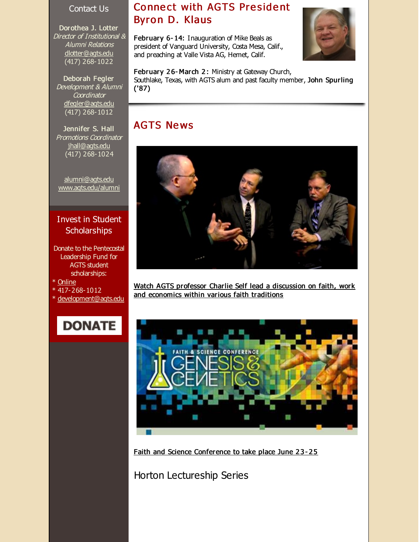#### Contact Us

Dorothea J. Lotter Director of Institutional & Alumni Relations [dlotter@agts.edu](mailto:dlotter@agts.edu) (417) 268-1022

Deborah Fegler Development & Alumni **Coordinator** [dfegler@agts.edu](mailto:dfegler@agts.edu) (417) 268-1012

Jennifer S. Hall Promotions Coordinator [jhall@agts.edu](mailto:jhall@agts.edu) (417) 268-1024

[alumni@agts.edu](mailto:alumni@agts.edu) [www.agts.edu/alumni](http://r20.rs6.net/tn.jsp?f=001ZIF0GmB-orZbqi0wyA6T0tCkoM9qVLJ7hw1tT4VOt85nFGt4EAMwaBqpiAOsL6SCkHCf5J3JP2c74rPbvUB8hdLvc1dmm3IsJDdzNLmb6Zq6AndVnNQryTNnCbjUuECe9HVssDEmvvldh-Fvo1ZP4vEB8l-dMDOTEnPx8HSbI6p9nbeaqbzHjg==&c=&ch=)

#### Invest in Student **Scholarships**

- Donate to the Pentecostal Leadership Fund for AGTS student scholarships:
- \* [Online](http://r20.rs6.net/tn.jsp?f=001ZIF0GmB-orZbqi0wyA6T0tCkoM9qVLJ7hw1tT4VOt85nFGt4EAMwaDJixa1fgvjP7tesf7_5XgKrRVw1Lkm7r3xQmQaP6INg_lSJ9QPeuk2LbPf7tq0bUIiPukJruOWO6RONlF8Zgk-bekHN2osrmvIkiB31RgeE2gtfSFcYnauSoFrNQtBEiAoqO7QRzt0Cb235IV7eMYmvZLkAbaRZYg==&c=&ch=)
- \* 417-268-1012
- \* [development@agts.edu](mailto:development@agts.edu)

# **DONATE**

#### **Connect with AGTS President** Byron D. Klaus

February 6- 14: Inauguration of Mike Beals as president of Vanguard University, Costa Mesa, Calif., and preaching at Valle Vista AG, Hemet, Calif.



February 26-March 2: Ministry at Gateway Church, Southlake, Texas, with AGTS alum and past faculty member, John Spurling ('87)

### **AGTS News**



Watch AGTS professor Charlie Self lead a [discussion](http://r20.rs6.net/tn.jsp?f=001ZIF0GmB-orZbqi0wyA6T0tCkoM9qVLJ7hw1tT4VOt85nFGt4EAMwaBn4Mt8jQTy6D-_iga4egLiq7JETqW1GhkMAN0FTE5RYIQUXiFuKtTKjE5DCL8mVM2oMi3OMEeglR9wjFW0fPerLB5yUcpTY0DtZOvaqjVwEd-DAdAuerP8uzB_VB4Xpk-P1qvZFmtW2sHD7ioAQHn39V7G-u1jmGC3bDnjbEGaOyzsWTc0mDgeTqrGpn7gRKgW4CVJnE0OKHIRkx7l8pjI=&c=&ch=) on faith, work and economics within various faith traditions



Faith and Science [Conference](http://r20.rs6.net/tn.jsp?f=001ZIF0GmB-orZbqi0wyA6T0tCkoM9qVLJ7hw1tT4VOt85nFGt4EAMwaBn4Mt8jQTy6FbkxjiUeUN-vlJBaVvBqSRhg1OPtQiNkip38vQO1h7vZRvvUUIRRjYfsO-vqD2o_3b1sj_OMSXHuHRgp85LgIkSrBjoZPUTGExHFuoXc6zQJPiZgQLaEoXLlzU2W4v22VMEjdGHLJwpOZcQqBaQJqgLBs4QxArTtMeqwLXvUxVSByToCycoAAw==&c=&ch=) to take place June 23-25

Horton Lectureship Series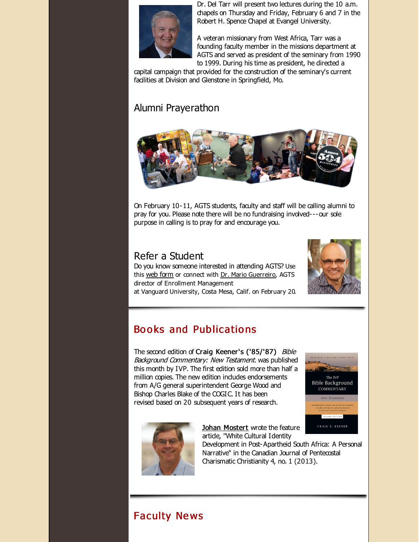

Dr. Del Tarr will present two lectures during the 10 a.m. chapels on Thursday and Friday, February 6 and 7 in the Robert H. Spence Chapel at Evangel University.

A veteran missionary from West Africa, Tarr was a founding faculty member in the missions department at AGTS and served as president of the seminary from 1990 to 1999. During his time as president, he directed a

capital campaign that provided for the construction of the seminary's current facilities at Division and Glenstone in Springfield, Mo.

# Alumni Prayerathon



On February 10-11, AGTS students, faculty and staff will be calling alumni to pray for you. Please note there will be no fundraising involved---our sole purpose in calling is to pray for and encourage you.

# Refer a Student

Do you know someone interested in attending AGTS? Use this web [form](http://r20.rs6.net/tn.jsp?f=001ZIF0GmB-orZbqi0wyA6T0tCkoM9qVLJ7hw1tT4VOt85nFGt4EAMwaPO7M66BJPo7fsGw5th9_OyXZDPsUmNQfSDveX8sj_fjrzFS_l87r3tZESifVr7bPZaYX4s26rAX3n8VIRNttY-eNxkJjsTUfIYxJHKcLM9nGf8xZmAujgC4u5kggtYrEw==&c=&ch=) or connect with Dr. Mario [Guerreiro](http://r20.rs6.net/tn.jsp?f=001ZIF0GmB-orZbqi0wyA6T0tCkoM9qVLJ7hw1tT4VOt85nFGt4EAMwaBn4Mt8jQTy6IW3kt-3REMSZGlEoRQHXqn2uQfiIPVcX0dzSBs5hx9kY7uDvK0mvNKfXMhRDWczGvqPKvNTkBp9LRd2OVDhfTApqsvW0QxRfMoIAGryfPCxRb-KkkJP4sCRbywpEwC7oPbKSjP6lLmE=&c=&ch=), AGTS director of Enrollment Management



at Vanguard University, Costa Mesa, Calif. on February 20.

# Books and Publications

The second edition of Craig Keener's ('85/'87) Bible Background Commentary: New Testament. was published this month by IVP. The first edition sold more than half a million copies. The new edition indudes endorsements from A/G general superintendent George Wood and Bishop Charles Blake of the COGIC. It has been revised based on 20 subsequent years of research.





Johan [Mostert](http://r20.rs6.net/tn.jsp?f=001ZIF0GmB-orZbqi0wyA6T0tCkoM9qVLJ7hw1tT4VOt85nFGt4EAMwaKz6dr0kfO31qX24TMdNEgCppqjuC8NtHBKPwtbh_EmFKNeQp4iUlRPBMnhBHL0Ysw6gBzdpxX_sJLWSSOu1i1rG5HaRC8e61G2pqh92MVmIJGVnBnAq6WMGKUvOwiSXKu9XDB5Hj-xZC9tZVqw9aPA=&c=&ch=) wrote the feature artide, "White Cultural Identity

Development in Post-Apartheid South Africa: A Personal Narrative" in the Canadian Journal of Pentecostal Charismatic Christianity 4, no. 1 (2013).

# Faculty Ne ws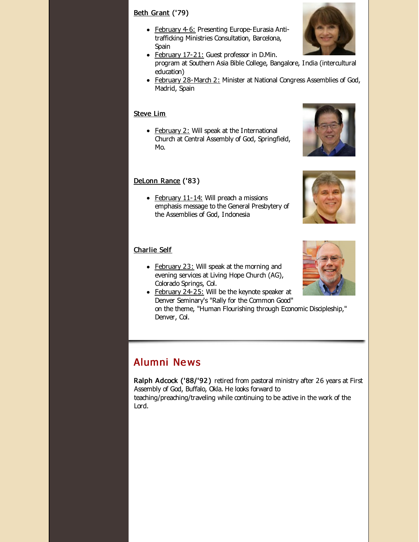#### Beth [Grant](http://r20.rs6.net/tn.jsp?f=001ZIF0GmB-orZbqi0wyA6T0tCkoM9qVLJ7hw1tT4VOt85nFGt4EAMwaBn4Mt8jQTy6O7WIEBe4Ik_VaAEGl7Mndt3SBRv_W1mas8DLvmhmTwBnjQetWTejMvpFzIx9no54VzYcz4w8r6UYyHnsfqZgE1evnnQEmMlL20yo5fVAnEahv-ONHWrDl8bvrdId5FMz&c=&ch=) ('79)

- February 4-6: Presenting Europe-Eurasia Antitrafficking Ministries Consultation, Barcelona, Spain
- February 17-21: Guest professor in D.Min. program at Southern Asia Bible College, Bangalore, India (intercultural education)
- February 28-March 2: Minister at National Congress Assemblies of God, Madrid, Spain

#### [Steve](http://r20.rs6.net/tn.jsp?f=001ZIF0GmB-orZbqi0wyA6T0tCkoM9qVLJ7hw1tT4VOt85nFGt4EAMwaHLWmw6acWYkWH8KqKxYi1qu_Or3P4kipJcguETKgD0xNpO0nOfy_to4arbwTnk4JhsHmKll6UfX_Aw1fN2UkF1qnlYgcIE-t9-ENOcRr1RAE6Ic_0PGJHCZikP43jwWQWgxvTAYhzT2&c=&ch=) Lim

• February 2: Will speak at the International Church at Central Assembly of God, Springfield, Mo.

#### [DeLonn](http://r20.rs6.net/tn.jsp?f=001ZIF0GmB-orZbqi0wyA6T0tCkoM9qVLJ7hw1tT4VOt85nFGt4EAMwaLF_8uLv5O-gLKD4byDm_IjCzmDi7ub8EdHfSS0GpR-mqbCSEKptAh9shNVsux_1B3Cf8BXqQ7Tdcf1jgsrxMCvHjfDnlpkO-KigMF6Mq7rk6V0veYCvyIT7TjGjoaj8epIAovAofJYD&c=&ch=) Rance ('83 )

 $\bullet$  February 11-14: Will preach a missions emphasis message to the General Presbytery of the Assemblies of God, Indonesia

#### [Charlie](http://r20.rs6.net/tn.jsp?f=001ZIF0GmB-orZbqi0wyA6T0tCkoM9qVLJ7hw1tT4VOt85nFGt4EAMwaKkrIoRsq3xJ_u1BBCgkHdJnkbEH2JAp7Sfotww9yTZYNPQ255CyOJYAPZNdHXHdbO2JP2y_EBwIGwHjjjKphqEO8OLJdRienqoFhBKzjihjtSIEU7hpYZ6wnOPM0P99_J-YUbZYSxsz&c=&ch=) Self

- February 23: Will speak at the morning and evening services at Living Hope Church (AG), Colorado Springs, Col.
- February 24-25: Will be the keynote speaker at Denver Seminary's "Rally for the Common Good" on the theme, "Human Flourishing through Economic Discipleship," Denver, Col.

# Alumni Ne ws

Ralph Adcock ('88/'92 ) retired from pastoral ministry after 26 years at First Assembly of God, Buffalo, Okla. He looks forward to teaching/preaching/traveling while continuing to be active in the work of the Lord.







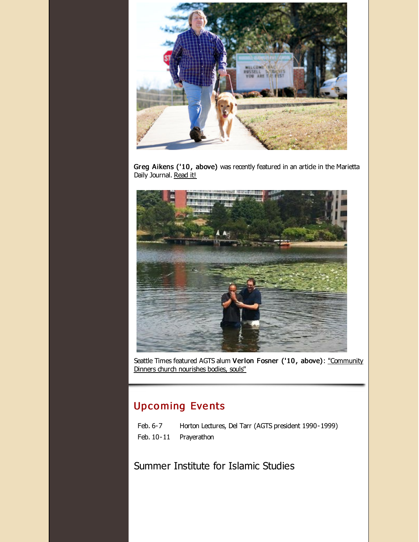

Greg Aikens ('10, above) was recently featured in an artide in the Marietta Daily Journal. [Read](http://r20.rs6.net/tn.jsp?f=001ZIF0GmB-orZbqi0wyA6T0tCkoM9qVLJ7hw1tT4VOt85nFGt4EAMwaBn4Mt8jQTy6Qa6EHNj4qoyIPL2nxNaT43Ys9lD7LZts_26rlTArCVVCGZauoALnDJma76_PeBhgiMiiOxGUWRO98bwC_UF6AkayhihxQV0BVJp93blDOkkdKQsWSWyp2mbc_bUJcc2eSKI2qycZj503vg6KGr4-go2dm5rszDlRxZhDZakKWJnZQCZcL5r_H4ARHvLi16uq4-ypuPtCCkS560Elb317WrOGh5wlUbpg3Tsarub-LGsk5sSX18U_DQ==&c=&ch=) it!



Seattle Times featured AGTS alum Verlon Fosner ('10, above): ["Community](http://r20.rs6.net/tn.jsp?f=001ZIF0GmB-orZbqi0wyA6T0tCkoM9qVLJ7hw1tT4VOt85nFGt4EAMwaBn4Mt8jQTy6yTrcTu9MtwGPEjJyMUaSvq0g_aINQDAI6QCMFrvvO6Hs5Wi9kPUUZO2G3jd6wBe12FQtJ40J-m7vba32S-GSF4QHJLQqM1dM_ZYeUQa7M-kjTKZPhkmstjKkqTfAark9EvfXkcl9ioob2o-XJLnygaL6zaKDhAG2TMuqpPv1j-aub6DB90zaLQ==&c=&ch=) Dinners church nourishes bodies, souls"

# **Upcoming Events**

| Feb. 6-7 | Horton Lectures, Del Tarr (AGTS president 1990-1999) |
|----------|------------------------------------------------------|
|          | Feb. 10-11 Prayerathon                               |

Summer Institute for Islamic Studies